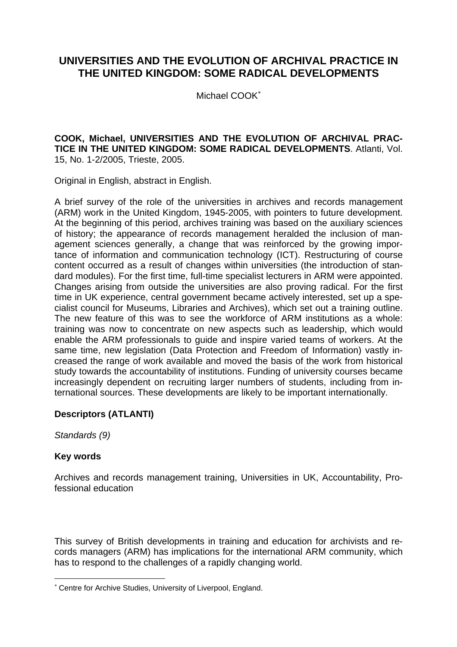# **UNIVERSITIES AND THE EVOLUTION OF ARCHIVAL PRACTICE IN THE UNITED KINGDOM: SOME RADICAL DEVELOPMENTS**

Michael COOK<sup>∗</sup>

### **COOK, Michael, UNIVERSITIES AND THE EVOLUTION OF ARCHIVAL PRAC-TICE IN THE UNITED KINGDOM: SOME RADICAL DEVELOPMENTS**. Atlanti, Vol. 15, No. 1-2/2005, Trieste, 2005.

Original in English, abstract in English.

A brief survey of the role of the universities in archives and records management (ARM) work in the United Kingdom, 1945-2005, with pointers to future development. At the beginning of this period, archives training was based on the auxiliary sciences of history; the appearance of records management heralded the inclusion of management sciences generally, a change that was reinforced by the growing importance of information and communication technology (ICT). Restructuring of course content occurred as a result of changes within universities (the introduction of standard modules). For the first time, full-time specialist lecturers in ARM were appointed. Changes arising from outside the universities are also proving radical. For the first time in UK experience, central government became actively interested, set up a specialist council for Museums, Libraries and Archives), which set out a training outline. The new feature of this was to see the workforce of ARM institutions as a whole: training was now to concentrate on new aspects such as leadership, which would enable the ARM professionals to guide and inspire varied teams of workers. At the same time, new legislation (Data Protection and Freedom of Information) vastly increased the range of work available and moved the basis of the work from historical study towards the accountability of institutions. Funding of university courses became increasingly dependent on recruiting larger numbers of students, including from international sources. These developments are likely to be important internationally.

## **Descriptors (ATLANTI)**

*Standards (9)* 

## **Key words**

 $\overline{a}$ 

Archives and records management training, Universities in UK, Accountability, Professional education

This survey of British developments in training and education for archivists and records managers (ARM) has implications for the international ARM community, which has to respond to the challenges of a rapidly changing world.

<sup>∗</sup> Centre for Archive Studies, University of Liverpool, England.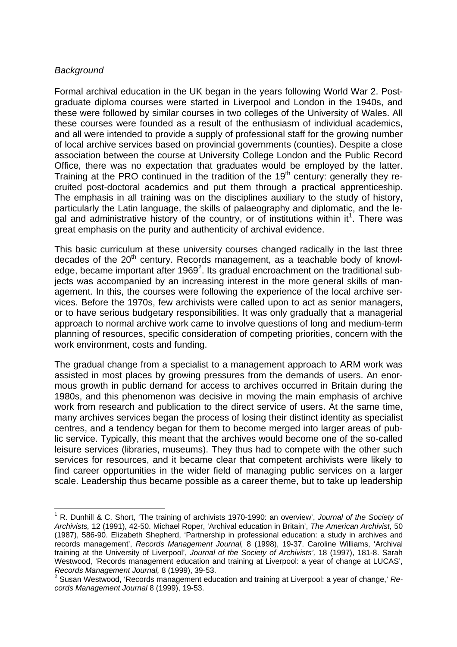## *Background*

 $\overline{a}$ 

Formal archival education in the UK began in the years following World War 2. Postgraduate diploma courses were started in Liverpool and London in the 1940s, and these were followed by similar courses in two colleges of the University of Wales. All these courses were founded as a result of the enthusiasm of individual academics, and all were intended to provide a supply of professional staff for the growing number of local archive services based on provincial governments (counties). Despite a close association between the course at University College London and the Public Record Office, there was no expectation that graduates would be employed by the latter. Training at the PRO continued in the tradition of the 19<sup>th</sup> century: generally they recruited post-doctoral academics and put them through a practical apprenticeship. The emphasis in all training was on the disciplines auxiliary to the study of history, particularly the Latin language, the skills of palaeography and diplomatic, and the legal and administrative history of the country, or of institutions within it<sup>1</sup>. There was great emphasis on the purity and authenticity of archival evidence.

This basic curriculum at these university courses changed radically in the last three decades of the  $20<sup>th</sup>$  century. Records management, as a teachable body of knowledge, became important after 1969 $^2$ . Its gradual encroachment on the traditional subjects was accompanied by an increasing interest in the more general skills of management. In this, the courses were following the experience of the local archive services. Before the 1970s, few archivists were called upon to act as senior managers, or to have serious budgetary responsibilities. It was only gradually that a managerial approach to normal archive work came to involve questions of long and medium-term planning of resources, specific consideration of competing priorities, concern with the work environment, costs and funding.

The gradual change from a specialist to a management approach to ARM work was assisted in most places by growing pressures from the demands of users. An enormous growth in public demand for access to archives occurred in Britain during the 1980s, and this phenomenon was decisive in moving the main emphasis of archive work from research and publication to the direct service of users. At the same time, many archives services began the process of losing their distinct identity as specialist centres, and a tendency began for them to become merged into larger areas of public service. Typically, this meant that the archives would become one of the so-called leisure services (libraries, museums). They thus had to compete with the other such services for resources, and it became clear that competent archivists were likely to find career opportunities in the wider field of managing public services on a larger scale. Leadership thus became possible as a career theme, but to take up leadership

<sup>&</sup>lt;sup>1</sup> R. Dunhill & C. Short, 'The training of archivists 1970-1990: an overview', Journal of the Society of *Archivists,* 12 (1991), 42-50. Michael Roper, 'Archival education in Britain', *The American Archivist,* 50 (1987), 586-90. Elizabeth Shepherd, 'Partnership in professional education: a study in archives and records management', *Records Management Journal,* 8 (1998), 19-37. Caroline Williams, 'Archival training at the University of Liverpool', *Journal of the Society of Archivists',* 18 (1997), 181-8. Sarah Westwood, 'Records management education and training at Liverpool: a year of change at LUCAS', *Records Management Journal,* 8 (1999), 39-53. 2

Susan Westwood, 'Records management education and training at Liverpool: a year of change,' *Records Management Journal* 8 (1999), 19-53.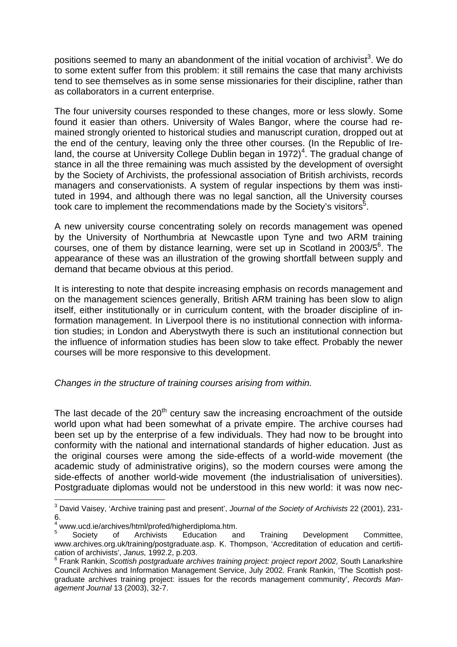positions seemed to many an abandonment of the initial vocation of archivist<sup>3</sup>. We do to some extent suffer from this problem: it still remains the case that many archivists tend to see themselves as in some sense missionaries for their discipline, rather than as collaborators in a current enterprise.

The four university courses responded to these changes, more or less slowly. Some found it easier than others. University of Wales Bangor, where the course had remained strongly oriented to historical studies and manuscript curation, dropped out at the end of the century, leaving only the three other courses. (In the Republic of Ireland, the course at University College Dublin began in 1972)<sup>4</sup>. The gradual change of stance in all the three remaining was much assisted by the development of oversight by the Society of Archivists, the professional association of British archivists, records managers and conservationists. A system of regular inspections by them was instituted in 1994, and although there was no legal sanction, all the University courses took care to implement the recommendations made by the Society's visitors<sup>5</sup>.

A new university course concentrating solely on records management was opened by the University of Northumbria at Newcastle upon Tyne and two ARM training  $c$ ourses, one of them by distance learning, were set up in Scotland in 2003/5 $^6$ . The appearance of these was an illustration of the growing shortfall between supply and demand that became obvious at this period.

It is interesting to note that despite increasing emphasis on records management and on the management sciences generally, British ARM training has been slow to align itself, either institutionally or in curriculum content, with the broader discipline of information management. In Liverpool there is no institutional connection with information studies; in London and Aberystwyth there is such an institutional connection but the influence of information studies has been slow to take effect. Probably the newer courses will be more responsive to this development.

*Changes in the structure of training courses arising from within.* 

The last decade of the  $20<sup>th</sup>$  century saw the increasing encroachment of the outside world upon what had been somewhat of a private empire. The archive courses had been set up by the enterprise of a few individuals. They had now to be brought into conformity with the national and international standards of higher education. Just as the original courses were among the side-effects of a world-wide movement (the academic study of administrative origins), so the modern courses were among the side-effects of another world-wide movement (the industrialisation of universities). Postgraduate diplomas would not be understood in this new world: it was now nec-

 $\overline{a}$ 3 David Vaisey, 'Archive training past and present', *Journal of the Society of Archivists* 22 (2001), 231-  $6.$ 

<sup>&</sup>lt;sup>4</sup> www.ucd.ie/archives/html/profed/higherdiploma.htm.<br>
<sup>5</sup> Society of Archivists Education and

Training Development Committee, www.archives.org.uk/training/postgraduate.asp. K. Thompson, 'Accreditation of education and certification of archivists', *Janus,* 1992.2, p.203. 6

Frank Rankin, *Scottish postgraduate archives training project: project report 2002,* South Lanarkshire Council Archives and Information Management Service, July 2002. Frank Rankin, 'The Scottish postgraduate archives training project: issues for the records management community', *Records Management Journal* 13 (2003), 32-7.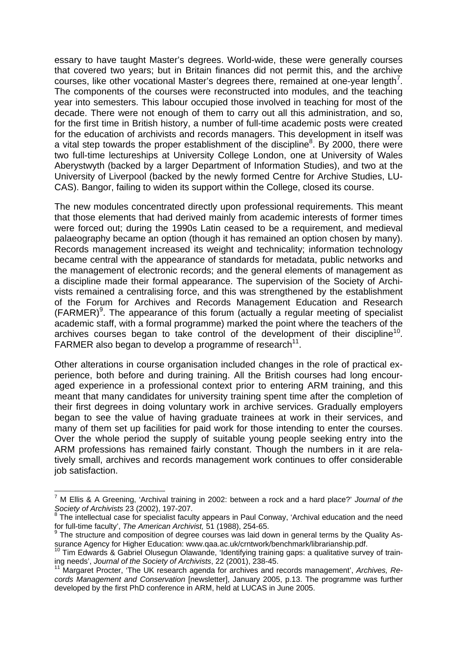essary to have taught Master's degrees. World-wide, these were generally courses that covered two years; but in Britain finances did not permit this, and the archive courses, like other vocational Master's degrees there, remained at one-year length<sup>7</sup>. The components of the courses were reconstructed into modules, and the teaching year into semesters. This labour occupied those involved in teaching for most of the decade. There were not enough of them to carry out all this administration, and so, for the first time in British history, a number of full-time academic posts were created for the education of archivists and records managers. This development in itself was a vital step towards the proper establishment of the discipline<sup>8</sup>. By 2000, there were two full-time lectureships at University College London, one at University of Wales Aberystwyth (backed by a larger Department of Information Studies), and two at the University of Liverpool (backed by the newly formed Centre for Archive Studies, LU-CAS). Bangor, failing to widen its support within the College, closed its course.

The new modules concentrated directly upon professional requirements. This meant that those elements that had derived mainly from academic interests of former times were forced out; during the 1990s Latin ceased to be a requirement, and medieval palaeography became an option (though it has remained an option chosen by many). Records management increased its weight and technicality; information technology became central with the appearance of standards for metadata, public networks and the management of electronic records; and the general elements of management as a discipline made their formal appearance. The supervision of the Society of Archivists remained a centralising force, and this was strengthened by the establishment of the Forum for Archives and Records Management Education and Research  $(FARMER)^9$ . The appearance of this forum (actually a regular meeting of specialist academic staff, with a formal programme) marked the point where the teachers of the archives courses began to take control of the development of their discipline<sup>10</sup>. FARMER also began to develop a programme of research<sup>11</sup>.

Other alterations in course organisation included changes in the role of practical experience, both before and during training. All the British courses had long encouraged experience in a professional context prior to entering ARM training, and this meant that many candidates for university training spent time after the completion of their first degrees in doing voluntary work in archive services. Gradually employers began to see the value of having graduate trainees at work in their services, and many of them set up facilities for paid work for those intending to enter the courses. Over the whole period the supply of suitable young people seeking entry into the ARM professions has remained fairly constant. Though the numbers in it are relatively small, archives and records management work continues to offer considerable job satisfaction.

 $\overline{a}$ 

<sup>7</sup> M Ellis & A Greening, 'Archival training in 2002: between a rock and a hard place?' *Journal of the Society of Archivists* 23 (2002), 197-207.

 $8$  The intellectual case for specialist faculty appears in Paul Conway, 'Archival education and the need for full-time faculty', *The American Archivist*, 51 (1988), 254-65.

 $9$  The structure and composition of degree courses was laid down in general terms by the Quality As-

surance Agency for Higher Education: www.qaa.ac.uk/crntwork/benchmark/librarianship.pdf.<br><sup>10</sup> Tim Edwards & Gabriel Olusegun Olawande, 'Identifying training gaps: a qualitative survey of train-<br>ing needs', *Journal of the* 

Margaret Procter, 'The UK research agenda for archives and records management', Archives, Re*cords Management and Conservation* [newsletter], January 2005, p.13. The programme was further developed by the first PhD conference in ARM, held at LUCAS in June 2005.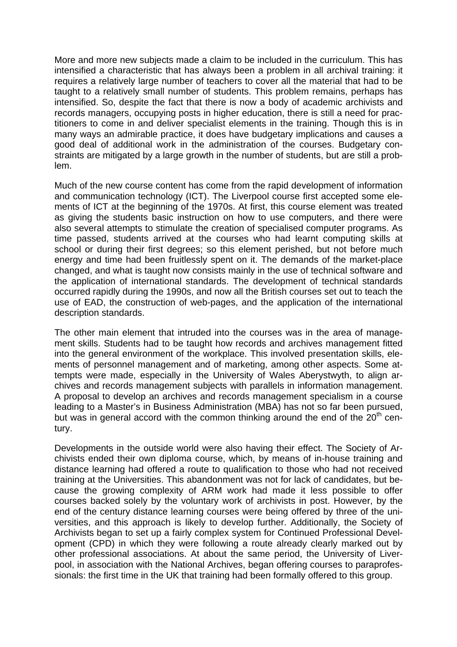More and more new subjects made a claim to be included in the curriculum. This has intensified a characteristic that has always been a problem in all archival training: it requires a relatively large number of teachers to cover all the material that had to be taught to a relatively small number of students. This problem remains, perhaps has intensified. So, despite the fact that there is now a body of academic archivists and records managers, occupying posts in higher education, there is still a need for practitioners to come in and deliver specialist elements in the training. Though this is in many ways an admirable practice, it does have budgetary implications and causes a good deal of additional work in the administration of the courses. Budgetary constraints are mitigated by a large growth in the number of students, but are still a problem.

Much of the new course content has come from the rapid development of information and communication technology (ICT). The Liverpool course first accepted some elements of ICT at the beginning of the 1970s. At first, this course element was treated as giving the students basic instruction on how to use computers, and there were also several attempts to stimulate the creation of specialised computer programs. As time passed, students arrived at the courses who had learnt computing skills at school or during their first degrees; so this element perished, but not before much energy and time had been fruitlessly spent on it. The demands of the market-place changed, and what is taught now consists mainly in the use of technical software and the application of international standards. The development of technical standards occurred rapidly during the 1990s, and now all the British courses set out to teach the use of EAD, the construction of web-pages, and the application of the international description standards.

The other main element that intruded into the courses was in the area of management skills. Students had to be taught how records and archives management fitted into the general environment of the workplace. This involved presentation skills, elements of personnel management and of marketing, among other aspects. Some attempts were made, especially in the University of Wales Aberystwyth, to align archives and records management subjects with parallels in information management. A proposal to develop an archives and records management specialism in a course leading to a Master's in Business Administration (MBA) has not so far been pursued, but was in general accord with the common thinking around the end of the  $20<sup>th</sup>$  century.

Developments in the outside world were also having their effect. The Society of Archivists ended their own diploma course, which, by means of in-house training and distance learning had offered a route to qualification to those who had not received training at the Universities. This abandonment was not for lack of candidates, but because the growing complexity of ARM work had made it less possible to offer courses backed solely by the voluntary work of archivists in post. However, by the end of the century distance learning courses were being offered by three of the universities, and this approach is likely to develop further. Additionally, the Society of Archivists began to set up a fairly complex system for Continued Professional Development (CPD) in which they were following a route already clearly marked out by other professional associations. At about the same period, the University of Liverpool, in association with the National Archives, began offering courses to paraprofessionals: the first time in the UK that training had been formally offered to this group.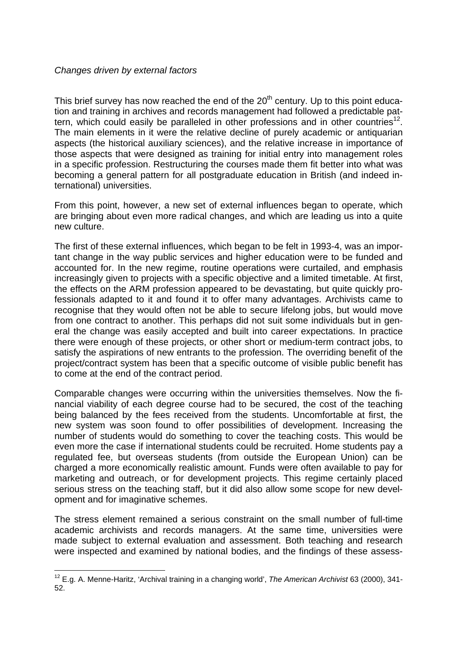## *Changes driven by external factors*

 $\overline{a}$ 

This brief survey has now reached the end of the  $20<sup>th</sup>$  century. Up to this point education and training in archives and records management had followed a predictable pattern, which could easily be paralleled in other professions and in other countries<sup>12</sup>. The main elements in it were the relative decline of purely academic or antiquarian aspects (the historical auxiliary sciences), and the relative increase in importance of those aspects that were designed as training for initial entry into management roles in a specific profession. Restructuring the courses made them fit better into what was becoming a general pattern for all postgraduate education in British (and indeed international) universities.

From this point, however, a new set of external influences began to operate, which are bringing about even more radical changes, and which are leading us into a quite new culture.

The first of these external influences, which began to be felt in 1993-4, was an important change in the way public services and higher education were to be funded and accounted for. In the new regime, routine operations were curtailed, and emphasis increasingly given to projects with a specific objective and a limited timetable. At first, the effects on the ARM profession appeared to be devastating, but quite quickly professionals adapted to it and found it to offer many advantages. Archivists came to recognise that they would often not be able to secure lifelong jobs, but would move from one contract to another. This perhaps did not suit some individuals but in general the change was easily accepted and built into career expectations. In practice there were enough of these projects, or other short or medium-term contract jobs, to satisfy the aspirations of new entrants to the profession. The overriding benefit of the project/contract system has been that a specific outcome of visible public benefit has to come at the end of the contract period.

Comparable changes were occurring within the universities themselves. Now the financial viability of each degree course had to be secured, the cost of the teaching being balanced by the fees received from the students. Uncomfortable at first, the new system was soon found to offer possibilities of development. Increasing the number of students would do something to cover the teaching costs. This would be even more the case if international students could be recruited. Home students pay a regulated fee, but overseas students (from outside the European Union) can be charged a more economically realistic amount. Funds were often available to pay for marketing and outreach, or for development projects. This regime certainly placed serious stress on the teaching staff, but it did also allow some scope for new development and for imaginative schemes.

The stress element remained a serious constraint on the small number of full-time academic archivists and records managers. At the same time, universities were made subject to external evaluation and assessment. Both teaching and research were inspected and examined by national bodies, and the findings of these assess-

<sup>12</sup> E.g. A. Menne-Haritz, 'Archival training in a changing world', *The American Archivist* 63 (2000), 341- 52.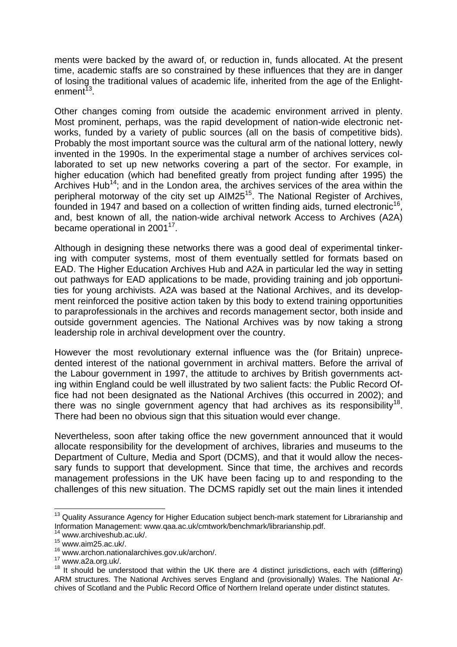ments were backed by the award of, or reduction in, funds allocated. At the present time, academic staffs are so constrained by these influences that they are in danger of losing the traditional values of academic life, inherited from the age of the Enlightenment<sup> $13$ </sup>.

Other changes coming from outside the academic environment arrived in plenty. Most prominent, perhaps, was the rapid development of nation-wide electronic networks, funded by a variety of public sources (all on the basis of competitive bids). Probably the most important source was the cultural arm of the national lottery, newly invented in the 1990s. In the experimental stage a number of archives services collaborated to set up new networks covering a part of the sector. For example, in higher education (which had benefited greatly from project funding after 1995) the Archives Hub<sup>14</sup>; and in the London area, the archives services of the area within the peripheral motorway of the city set up AIM25<sup>15</sup>. The National Register of Archives, founded in 1947 and based on a collection of written finding aids, turned electronic<sup>16</sup>. and, best known of all, the nation-wide archival network Access to Archives (A2A) became operational in  $2001^{17}$ .

Although in designing these networks there was a good deal of experimental tinkering with computer systems, most of them eventually settled for formats based on EAD. The Higher Education Archives Hub and A2A in particular led the way in setting out pathways for EAD applications to be made, providing training and job opportunities for young archivists. A2A was based at the National Archives, and its development reinforced the positive action taken by this body to extend training opportunities to paraprofessionals in the archives and records management sector, both inside and outside government agencies. The National Archives was by now taking a strong leadership role in archival development over the country.

However the most revolutionary external influence was the (for Britain) unprecedented interest of the national government in archival matters. Before the arrival of the Labour government in 1997, the attitude to archives by British governments acting within England could be well illustrated by two salient facts: the Public Record Office had not been designated as the National Archives (this occurred in 2002); and there was no single government agency that had archives as its responsibility<sup>18</sup>. There had been no obvious sign that this situation would ever change.

Nevertheless, soon after taking office the new government announced that it would allocate responsibility for the development of archives, libraries and museums to the Department of Culture, Media and Sport (DCMS), and that it would allow the necessary funds to support that development. Since that time, the archives and records management professions in the UK have been facing up to and responding to the challenges of this new situation. The DCMS rapidly set out the main lines it intended

 $\overline{a}$ 

 $13$  Quality Assurance Agency for Higher Education subject bench-mark statement for Librarianship and Information Management: www.qaa.ac.uk/cmtwork/benchmark/librarianship.pdf. 14 www.archiveshub.ac.uk/.

www.aisinvoorias.as.as.<br><sup>15</sup> www.aim25.ac.uk/.<br><sup>16</sup> www.archon.nationalarchives.gov.uk/archon/.

<sup>&</sup>lt;sup>17</sup> www.a2a.org.uk/.<br><sup>18</sup> It should be understood that within the UK there are 4 distinct jurisdictions, each with (differing) ARM structures. The National Archives serves England and (provisionally) Wales. The National Archives of Scotland and the Public Record Office of Northern Ireland operate under distinct statutes.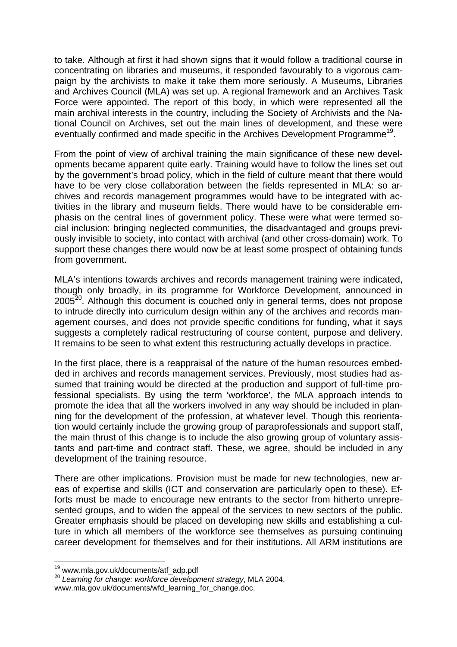to take. Although at first it had shown signs that it would follow a traditional course in concentrating on libraries and museums, it responded favourably to a vigorous campaign by the archivists to make it take them more seriously. A Museums, Libraries and Archives Council (MLA) was set up. A regional framework and an Archives Task Force were appointed. The report of this body, in which were represented all the main archival interests in the country, including the Society of Archivists and the National Council on Archives, set out the main lines of development, and these were eventually confirmed and made specific in the Archives Development Programme<sup>19</sup>.

From the point of view of archival training the main significance of these new developments became apparent quite early. Training would have to follow the lines set out by the government's broad policy, which in the field of culture meant that there would have to be very close collaboration between the fields represented in MLA: so archives and records management programmes would have to be integrated with activities in the library and museum fields. There would have to be considerable emphasis on the central lines of government policy. These were what were termed social inclusion: bringing neglected communities, the disadvantaged and groups previously invisible to society, into contact with archival (and other cross-domain) work. To support these changes there would now be at least some prospect of obtaining funds from government.

MLA's intentions towards archives and records management training were indicated, though only broadly, in its programme for Workforce Development, announced in 2005<sup>20</sup>. Although this document is couched only in general terms, does not propose to intrude directly into curriculum design within any of the archives and records management courses, and does not provide specific conditions for funding, what it says suggests a completely radical restructuring of course content, purpose and delivery. It remains to be seen to what extent this restructuring actually develops in practice.

In the first place, there is a reappraisal of the nature of the human resources embedded in archives and records management services. Previously, most studies had assumed that training would be directed at the production and support of full-time professional specialists. By using the term 'workforce', the MLA approach intends to promote the idea that all the workers involved in any way should be included in planning for the development of the profession, at whatever level. Though this reorientation would certainly include the growing group of paraprofessionals and support staff, the main thrust of this change is to include the also growing group of voluntary assistants and part-time and contract staff. These, we agree, should be included in any development of the training resource.

There are other implications. Provision must be made for new technologies, new areas of expertise and skills (ICT and conservation are particularly open to these). Efforts must be made to encourage new entrants to the sector from hitherto unrepresented groups, and to widen the appeal of the services to new sectors of the public. Greater emphasis should be placed on developing new skills and establishing a culture in which all members of the workforce see themselves as pursuing continuing career development for themselves and for their institutions. All ARM institutions are

<sup>&</sup>lt;sup>19</sup> www.mla.gov.uk/documents/atf\_adp.pdf

<sup>20</sup> Learning for change: workforce development strategy, MLA 2004,

www.mla.gov.uk/documents/wfd\_learning\_for\_change.doc.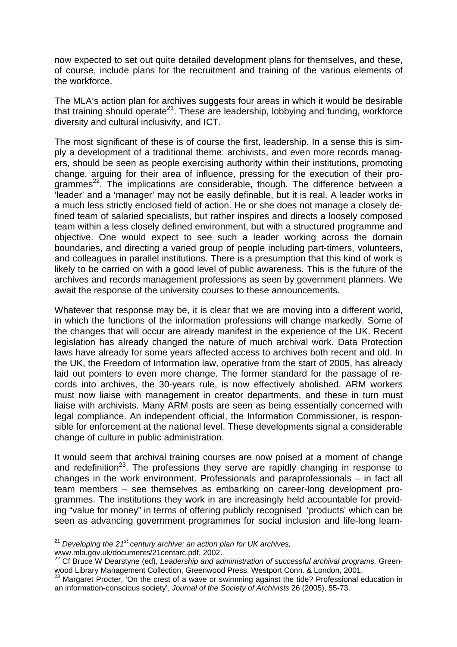now expected to set out quite detailed development plans for themselves, and these, of course, include plans for the recruitment and training of the various elements of the workforce.

The MLA's action plan for archives suggests four areas in which it would be desirable that training should operate<sup>21</sup>. These are leadership, lobbying and funding, workforce diversity and cultural inclusivity, and ICT.

The most significant of these is of course the first, leadership. In a sense this is simply a development of a traditional theme: archivists, and even more records managers, should be seen as people exercising authority within their institutions, promoting change, arguing for their area of influence, pressing for the execution of their programmes<sup>22</sup>. The implications are considerable, though. The difference between a 'leader' and a 'manager' may not be easily definable, but it is real. A leader works in a much less strictly enclosed field of action. He or she does not manage a closely defined team of salaried specialists, but rather inspires and directs a loosely composed team within a less closely defined environment, but with a structured programme and objective. One would expect to see such a leader working across the domain boundaries, and directing a varied group of people including part-timers, volunteers, and colleagues in parallel institutions. There is a presumption that this kind of work is likely to be carried on with a good level of public awareness. This is the future of the archives and records management professions as seen by government planners. We await the response of the university courses to these announcements.

Whatever that response may be, it is clear that we are moving into a different world, in which the functions of the information professions will change markedly. Some of the changes that will occur are already manifest in the experience of the UK. Recent legislation has already changed the nature of much archival work. Data Protection laws have already for some years affected access to archives both recent and old. In the UK, the Freedom of Information law, operative from the start of 2005, has already laid out pointers to even more change. The former standard for the passage of records into archives, the 30-years rule, is now effectively abolished. ARM workers must now liaise with management in creator departments, and these in turn must liaise with archivists. Many ARM posts are seen as being essentially concerned with legal compliance. An independent official, the Information Commissioner, is responsible for enforcement at the national level. These developments signal a considerable change of culture in public administration.

It would seem that archival training courses are now poised at a moment of change and redefinition<sup>23</sup>. The professions they serve are rapidly changing in response to changes in the work environment. Professionals and paraprofessionals – in fact all team members – see themselves as embarking on career-long development programmes. The institutions they work in are increasingly held accountable for providing "value for money" in terms of offering publicly recognised 'products' which can be seen as advancing government programmes for social inclusion and life-long learn-

 $\overline{a}$ 

<sup>21</sup> *Developing the 21st century archive: an action plan for UK archives,* 

www.mla.gov.uk/documents/21centarc.pdf, 2002.<br><sup>22</sup> Cf Bruce W Dearstyne (ed), *Leadership and administration of successful archival programs, Green*wood Library Management Collection, Greenwood Press, Westport Conn. & London, 2001.<br><sup>23</sup> Margaret Procter, 'On the crest of a wave or swimming against the tide? Professional education in

an information-conscious society', *Journal of the Society of Archivists* 26 (2005), 55-73.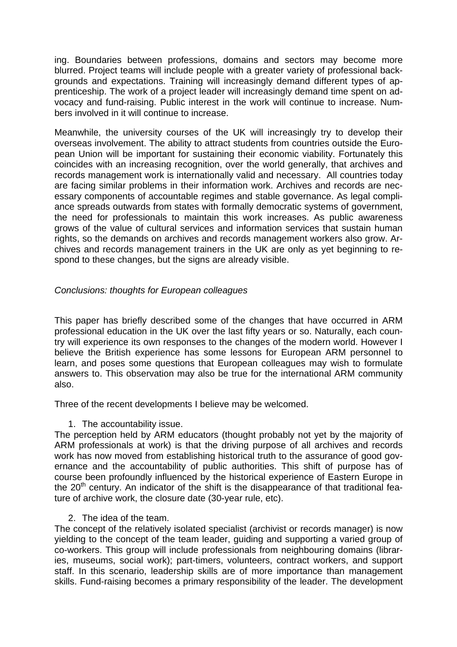ing. Boundaries between professions, domains and sectors may become more blurred. Project teams will include people with a greater variety of professional backgrounds and expectations. Training will increasingly demand different types of apprenticeship. The work of a project leader will increasingly demand time spent on advocacy and fund-raising. Public interest in the work will continue to increase. Numbers involved in it will continue to increase.

Meanwhile, the university courses of the UK will increasingly try to develop their overseas involvement. The ability to attract students from countries outside the European Union will be important for sustaining their economic viability. Fortunately this coincides with an increasing recognition, over the world generally, that archives and records management work is internationally valid and necessary. All countries today are facing similar problems in their information work. Archives and records are necessary components of accountable regimes and stable governance. As legal compliance spreads outwards from states with formally democratic systems of government, the need for professionals to maintain this work increases. As public awareness grows of the value of cultural services and information services that sustain human rights, so the demands on archives and records management workers also grow. Archives and records management trainers in the UK are only as yet beginning to respond to these changes, but the signs are already visible.

## *Conclusions: thoughts for European colleagues*

This paper has briefly described some of the changes that have occurred in ARM professional education in the UK over the last fifty years or so. Naturally, each country will experience its own responses to the changes of the modern world. However I believe the British experience has some lessons for European ARM personnel to learn, and poses some questions that European colleagues may wish to formulate answers to. This observation may also be true for the international ARM community also.

Three of the recent developments I believe may be welcomed.

1. The accountability issue.

The perception held by ARM educators (thought probably not yet by the majority of ARM professionals at work) is that the driving purpose of all archives and records work has now moved from establishing historical truth to the assurance of good governance and the accountability of public authorities. This shift of purpose has of course been profoundly influenced by the historical experience of Eastern Europe in the  $20<sup>th</sup>$  century. An indicator of the shift is the disappearance of that traditional feature of archive work, the closure date (30-year rule, etc).

2. The idea of the team.

The concept of the relatively isolated specialist (archivist or records manager) is now yielding to the concept of the team leader, guiding and supporting a varied group of co-workers. This group will include professionals from neighbouring domains (libraries, museums, social work); part-timers, volunteers, contract workers, and support staff. In this scenario, leadership skills are of more importance than management skills. Fund-raising becomes a primary responsibility of the leader. The development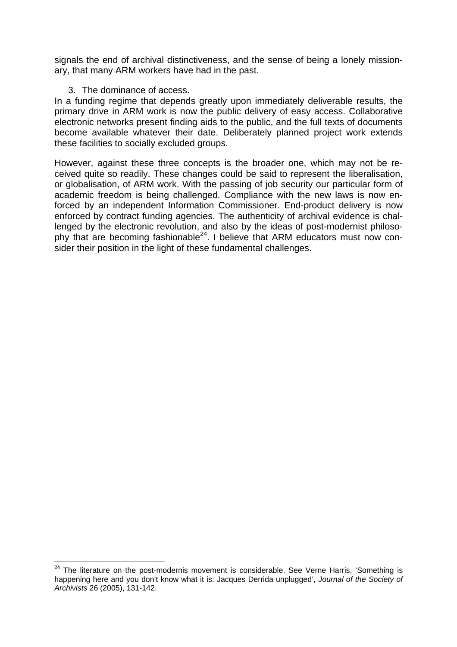signals the end of archival distinctiveness, and the sense of being a lonely missionary, that many ARM workers have had in the past.

### 3. The dominance of access.

 $\overline{a}$ 

In a funding regime that depends greatly upon immediately deliverable results, the primary drive in ARM work is now the public delivery of easy access. Collaborative electronic networks present finding aids to the public, and the full texts of documents become available whatever their date. Deliberately planned project work extends these facilities to socially excluded groups.

However, against these three concepts is the broader one, which may not be received quite so readily. These changes could be said to represent the liberalisation, or globalisation, of ARM work. With the passing of job security our particular form of academic freedom is being challenged. Compliance with the new laws is now enforced by an independent Information Commissioner. End-product delivery is now enforced by contract funding agencies. The authenticity of archival evidence is challenged by the electronic revolution, and also by the ideas of post-modernist philosophy that are becoming fashionable<sup>24</sup>. I believe that ARM educators must now consider their position in the light of these fundamental challenges.

 $24$  The literature on the post-modernis movement is considerable. See Verne Harris, 'Something is happening here and you don't know what it is: Jacques Derrida unplugged', *Journal of the Society of Archivists* 26 (2005), 131-142.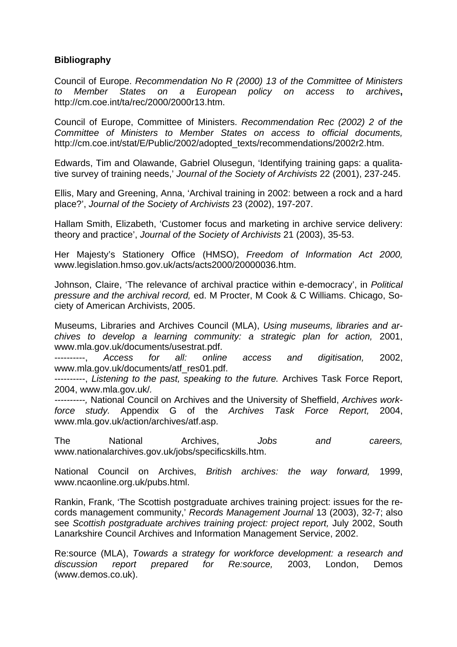## **Bibliography**

Council of Europe. *Recommendation No R (2000) 13 of the Committee of Ministers to Member States on a European policy on access to archives***,**  http://cm.coe.int/ta/rec/2000/2000r13.htm.

Council of Europe, Committee of Ministers. *Recommendation Rec (2002) 2 of the Committee of Ministers to Member States on access to official documents,*  http://cm.coe.int/stat/E/Public/2002/adopted\_texts/recommendations/2002r2.htm.

Edwards, Tim and Olawande, Gabriel Olusegun, 'Identifying training gaps: a qualitative survey of training needs,' *Journal of the Society of Archivists* 22 (2001), 237-245.

Ellis, Mary and Greening, Anna, 'Archival training in 2002: between a rock and a hard place?', *Journal of the Society of Archivists* 23 (2002), 197-207.

Hallam Smith, Elizabeth, 'Customer focus and marketing in archive service delivery: theory and practice', *Journal of the Society of Archivists* 21 (2003), 35-53.

Her Majesty's Stationery Office (HMSO), *Freedom of Information Act 2000,*  www.legislation.hmso.gov.uk/acts/acts2000/20000036.htm.

Johnson, Claire, 'The relevance of archival practice within e-democracy', in *Political pressure and the archival record,* ed. M Procter, M Cook & C Williams. Chicago, Society of American Archivists, 2005.

Museums, Libraries and Archives Council (MLA), *Using museums, libraries and archives to develop a learning community: a strategic plan for action,* 2001, www.mla.gov.uk/documents/usestrat.pdf.

----------, *Access for all: online access and digitisation,* 2002, www.mla.gov.uk/documents/atf\_res01.pdf.

----------, *Listening to the past, speaking to the future.* Archives Task Force Report, 2004, www.mla.gov.uk/*.*

*----------,* National Council on Archives and the University of Sheffield, *Archives workforce study.* Appendix G of the *Archives Task Force Report,* 2004, www.mla.gov.uk/action/archives/atf.asp.

The National Archives, *Jobs and careers,*  www.nationalarchives.gov.uk/jobs/specificskills.htm.

National Council on Archives, *British archives: the way forward,* 1999, www.ncaonline.org.uk/pubs.html.

Rankin, Frank, 'The Scottish postgraduate archives training project: issues for the records management community,' *Records Management Journal* 13 (2003), 32-7; also see *Scottish postgraduate archives training project: project report,* July 2002, South Lanarkshire Council Archives and Information Management Service, 2002.

Re:source (MLA), *Towards a strategy for workforce development: a research and discussion report prepared for Re:source,* 2003, London, Demos (www.demos.co.uk).